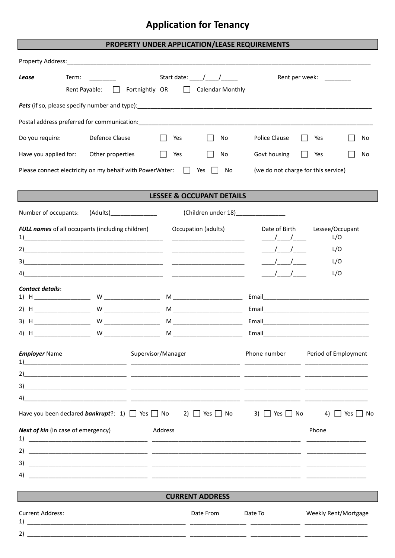### **Application for Tenancy**

#### PROPERTY UNDER APPLICATION/LEASE REQUIREMENTS

| Property Address:                                                             | <u> 1980 - Jan Samuel Barbara, margaret e</u>                                                                                                                                   |                                                                                    |                                                                                             |                                                                     |
|-------------------------------------------------------------------------------|---------------------------------------------------------------------------------------------------------------------------------------------------------------------------------|------------------------------------------------------------------------------------|---------------------------------------------------------------------------------------------|---------------------------------------------------------------------|
| Lease                                                                         | Term:<br>Fortnightly OR<br>Rent Payable:<br>$\mathbf{1}$                                                                                                                        | Start date: $\frac{1}{\sqrt{1-\frac{1}{2}}}$<br><b>Calendar Monthly</b><br>$\perp$ |                                                                                             | Rent per week: ________                                             |
|                                                                               |                                                                                                                                                                                 |                                                                                    |                                                                                             |                                                                     |
|                                                                               |                                                                                                                                                                                 |                                                                                    |                                                                                             |                                                                     |
| Do you require:                                                               | Defence Clause                                                                                                                                                                  | Yes<br>No                                                                          | Police Clause                                                                               | Yes<br>No                                                           |
| Have you applied for:                                                         | Other properties                                                                                                                                                                | No<br>Yes                                                                          | Govt housing                                                                                | Yes<br>No                                                           |
|                                                                               | Please connect electricity on my behalf with PowerWater: $\Box$                                                                                                                 | Yes<br>No                                                                          | (we do not charge for this service)                                                         |                                                                     |
|                                                                               |                                                                                                                                                                                 | <b>LESSEE &amp; OCCUPANT DETAILS</b>                                               |                                                                                             |                                                                     |
| Number of occupants:                                                          | (Adults) <b>Santa</b>                                                                                                                                                           | (Children under 18) [2012]                                                         |                                                                                             |                                                                     |
| 1)<br>3)<br>4)<br><b>Contact details:</b><br><b>Employer Name</b><br>1)<br>2) | <b>FULL names</b> of all occupants (including children)<br><u> 2000 - 2000 - 2000 - 2000 - 2000 - 2000 - 2000 - 2000 - 2000 - 2000 - 2000 - 2000 - 2000 - 2000 - 2000 - 200</u> | Occupation (adults)<br>Supervisor/Manager                                          | Date of Birth<br>$\sqrt{1}$<br>$\frac{1}{2}$<br>$\frac{1}{1}$<br>$\sqrt{2}$<br>Phone number | Lessee/Occupant<br>L/O<br>L/O<br>L/O<br>L/O<br>Period of Employment |
| 3)<br>4)<br>2)<br>3)<br>4)                                                    | Have you been declared <i>bankrupt</i> ?: 1) $\Box$ Yes $\Box$ No 2) $\Box$ Yes $\Box$ No 3) $\Box$ Yes $\Box$ No<br><b>Next of kin</b> (in case of emergency)                  | Address<br><b>CURRENT ADDRESS</b>                                                  |                                                                                             | 4) $\Box$ Yes $\Box$ No<br>Phone                                    |
| <b>Current Address:</b>                                                       |                                                                                                                                                                                 | Date From                                                                          | Date To                                                                                     | Weekly Rent/Mortgage                                                |
|                                                                               |                                                                                                                                                                                 |                                                                                    |                                                                                             |                                                                     |
| 2)                                                                            |                                                                                                                                                                                 |                                                                                    |                                                                                             |                                                                     |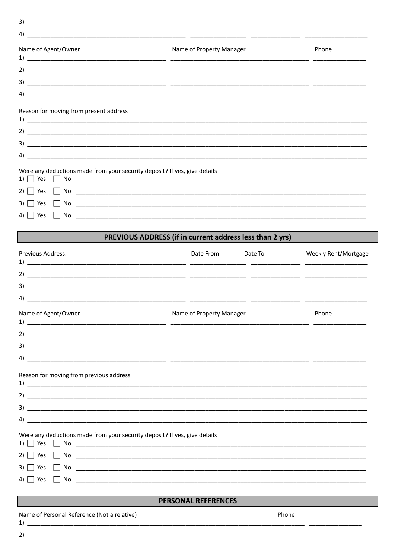| 3)                                                                        | <u> 1999 - Jacques Alexandro, actor estadounidense estadounidense estadounidense en la contradición de la contra</u> |       |  |  |  |  |
|---------------------------------------------------------------------------|----------------------------------------------------------------------------------------------------------------------|-------|--|--|--|--|
| 4)                                                                        |                                                                                                                      |       |  |  |  |  |
| Name of Agent/Owner                                                       | Name of Property Manager                                                                                             | Phone |  |  |  |  |
|                                                                           |                                                                                                                      |       |  |  |  |  |
|                                                                           |                                                                                                                      |       |  |  |  |  |
|                                                                           |                                                                                                                      |       |  |  |  |  |
| 4)                                                                        |                                                                                                                      |       |  |  |  |  |
| Reason for moving from present address                                    |                                                                                                                      |       |  |  |  |  |
|                                                                           |                                                                                                                      |       |  |  |  |  |
|                                                                           |                                                                                                                      |       |  |  |  |  |
| 4)                                                                        |                                                                                                                      |       |  |  |  |  |
| Were any deductions made from your security deposit? If yes, give details |                                                                                                                      |       |  |  |  |  |
| Yes                                                                       |                                                                                                                      |       |  |  |  |  |
| 3) l<br>Yes                                                               |                                                                                                                      |       |  |  |  |  |
| Yes                                                                       |                                                                                                                      |       |  |  |  |  |

# **EXECUTE PREVIOUS ADDRESS (if in current address less than 2 yrs)**

| <b>Previous Address:</b>                                                                                                           | Date From                | Date To | Weekly Rent/Mortgage |  |  |  |
|------------------------------------------------------------------------------------------------------------------------------------|--------------------------|---------|----------------------|--|--|--|
|                                                                                                                                    |                          |         |                      |  |  |  |
|                                                                                                                                    |                          |         |                      |  |  |  |
|                                                                                                                                    |                          |         |                      |  |  |  |
| Name of Agent/Owner                                                                                                                | Name of Property Manager |         | Phone                |  |  |  |
|                                                                                                                                    |                          |         |                      |  |  |  |
|                                                                                                                                    |                          |         |                      |  |  |  |
|                                                                                                                                    |                          |         |                      |  |  |  |
| Reason for moving from previous address                                                                                            |                          |         |                      |  |  |  |
|                                                                                                                                    |                          |         |                      |  |  |  |
|                                                                                                                                    |                          |         |                      |  |  |  |
| $\left( \begin{array}{ccc} 4 \end{array} \right)$                                                                                  |                          |         |                      |  |  |  |
| Were any deductions made from your security deposit? If yes, give details<br>$1)$ $\rightarrow$ Yes $\rightarrow$ No $\rightarrow$ |                          |         |                      |  |  |  |
| $2)$ $\Box$ Yes $\Box$ No $\Box$                                                                                                   |                          |         |                      |  |  |  |
|                                                                                                                                    |                          |         |                      |  |  |  |
| □ Yes                                                                                                                              |                          |         |                      |  |  |  |
| <b>PERSONAL REFERENCES</b>                                                                                                         |                          |         |                      |  |  |  |
| Name of Personal Reference (Not a relative)                                                                                        |                          | Phone   |                      |  |  |  |
|                                                                                                                                    |                          |         |                      |  |  |  |

| ٠<br>v |  |
|--------|--|
|        |  |